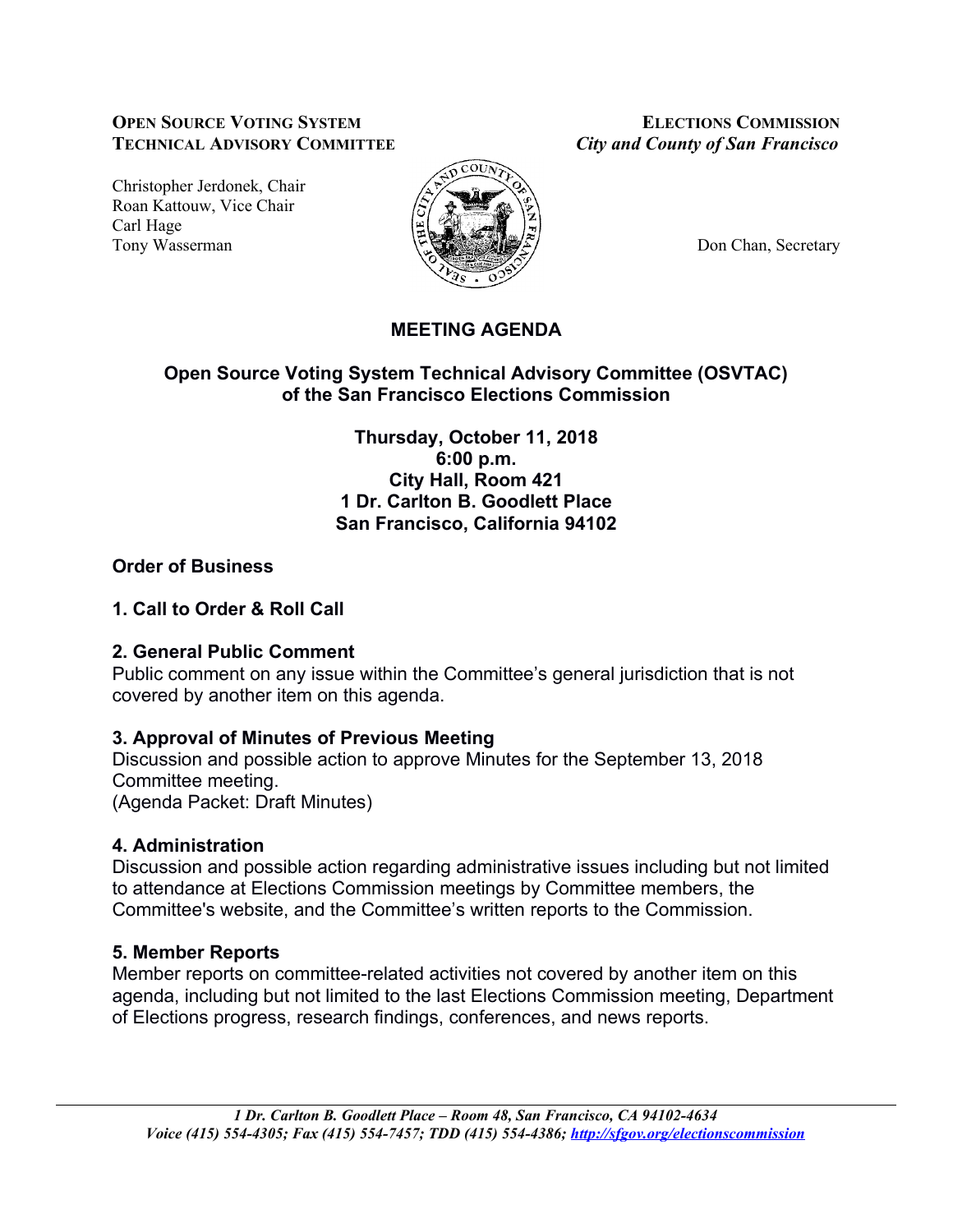### **OPEN SOURCE VOTING SYSTEM ELECTIONS COMMISSION TECHNICAL ADVISORY COMMITTEE** *City and County of San Francisco*

Christopher Jerdonek, Chair Roan Kattouw, Vice Chair Carl Hage Tony Wasserman **Don Chan, Secretary Don** Chan, Secretary



# **MEETING AGENDA**

# **Open Source Voting System Technical Advisory Committee (OSVTAC) of the San Francisco Elections Commission**

**Thursday, October 11, 2018 6:00 p.m. City Hall, Room 421 1 Dr. Carlton B. Goodlett Place San Francisco, California 94102**

# **Order of Business**

### **1. Call to Order & Roll Call**

### **2. General Public Comment**

Public comment on any issue within the Committee's general jurisdiction that is not covered by another item on this agenda.

# **3. Approval of Minutes of Previous Meeting**

Discussion and possible action to approve Minutes for the September 13, 2018 Committee meeting. (Agenda Packet: Draft Minutes)

# **4. Administration**

Discussion and possible action regarding administrative issues including but not limited to attendance at Elections Commission meetings by Committee members, the Committee's website, and the Committee's written reports to the Commission.

# **5. Member Reports**

Member reports on committee-related activities not covered by another item on this agenda, including but not limited to the last Elections Commission meeting, Department of Elections progress, research findings, conferences, and news reports.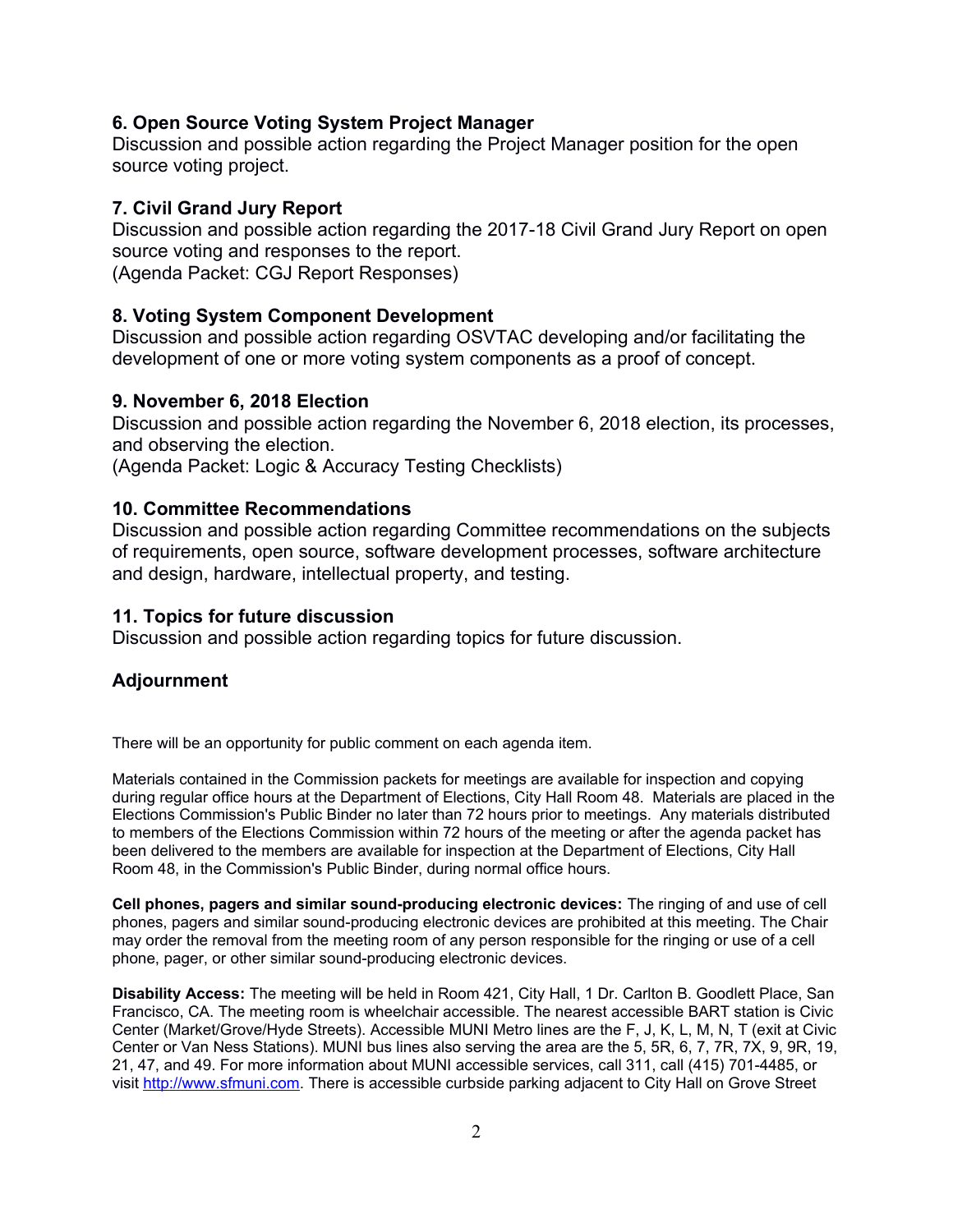#### **6. Open Source Voting System Project Manager**

Discussion and possible action regarding the Project Manager position for the open source voting project.

#### **7. Civil Grand Jury Report**

Discussion and possible action regarding the 2017-18 Civil Grand Jury Report on open source voting and responses to the report. (Agenda Packet: CGJ Report Responses)

#### **8. Voting System Component Development**

Discussion and possible action regarding OSVTAC developing and/or facilitating the development of one or more voting system components as a proof of concept.

#### **9. November 6, 2018 Election**

Discussion and possible action regarding the November 6, 2018 election, its processes, and observing the election. (Agenda Packet: Logic & Accuracy Testing Checklists)

#### **10. Committee Recommendations**

Discussion and possible action regarding Committee recommendations on the subjects of requirements, open source, software development processes, software architecture and design, hardware, intellectual property, and testing.

#### **11. Topics for future discussion**

Discussion and possible action regarding topics for future discussion.

### **Adjournment**

There will be an opportunity for public comment on each agenda item.

Materials contained in the Commission packets for meetings are available for inspection and copying during regular office hours at the Department of Elections, City Hall Room 48. Materials are placed in the Elections Commission's Public Binder no later than 72 hours prior to meetings. Any materials distributed to members of the Elections Commission within 72 hours of the meeting or after the agenda packet has been delivered to the members are available for inspection at the Department of Elections, City Hall Room 48, in the Commission's Public Binder, during normal office hours.

**Cell phones, pagers and similar sound-producing electronic devices:** The ringing of and use of cell phones, pagers and similar sound-producing electronic devices are prohibited at this meeting. The Chair may order the removal from the meeting room of any person responsible for the ringing or use of a cell phone, pager, or other similar sound-producing electronic devices.

**Disability Access:** The meeting will be held in Room 421, City Hall, 1 Dr. Carlton B. Goodlett Place, San Francisco, CA. The meeting room is wheelchair accessible. The nearest accessible BART station is Civic Center (Market/Grove/Hyde Streets). Accessible MUNI Metro lines are the F, J, K, L, M, N, T (exit at Civic Center or Van Ness Stations). MUNI bus lines also serving the area are the 5, 5R, 6, 7, 7R, 7X, 9, 9R, 19, 21, 47, and 49. For more information about MUNI accessible services, call 311, call (415) 701-4485, or visit [http://www.sfmuni.com.](http://www.sfmuni.com/) There is accessible curbside parking adjacent to City Hall on Grove Street